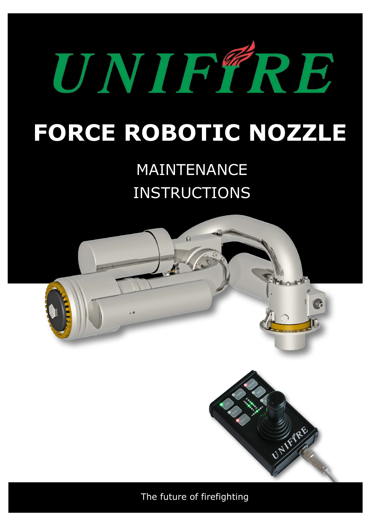

## **FORCE ROBOTIC NOZZLE**

## MAINTENANCE INSTRUCTIONS



The future of firefighting